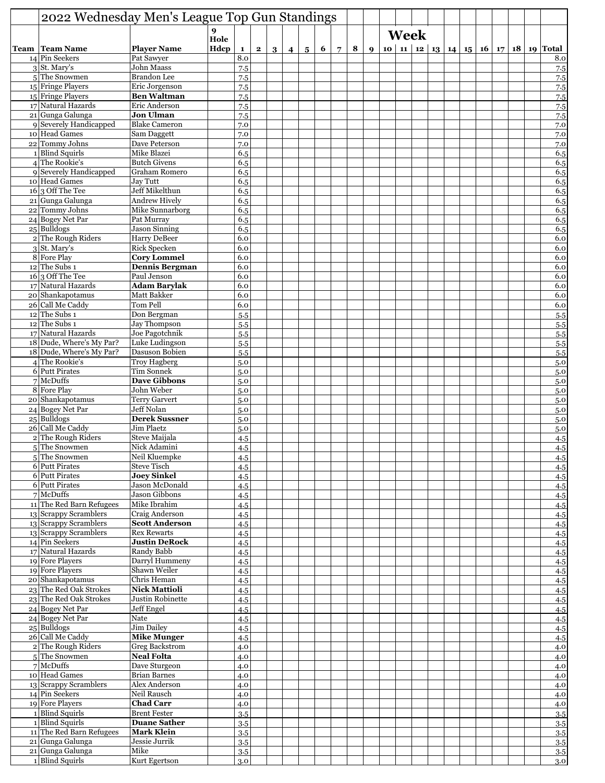| 2022 Wednesday Men's League Top Gun Standings |                                             |              |              |              |   |                |                |   |             |   |                  |             |  |  |  |  |                                                         |
|-----------------------------------------------|---------------------------------------------|--------------|--------------|--------------|---|----------------|----------------|---|-------------|---|------------------|-------------|--|--|--|--|---------------------------------------------------------|
|                                               |                                             | 9            |              |              |   |                |                |   |             |   |                  | <b>Week</b> |  |  |  |  |                                                         |
| <b>Team   Team Name</b>                       | <b>Player Name</b>                          | Hole<br>Hdcp | $\mathbf{1}$ | $\mathbf{2}$ | 3 | $\overline{4}$ | 5 <sup>5</sup> | 6 | $7^{\circ}$ | 8 | $\boldsymbol{Q}$ |             |  |  |  |  | 10   11   12   13   14   15   16   17   18   19   Total |
| 14 Pin Seekers                                | Pat Sawyer                                  |              | 8.0          |              |   |                |                |   |             |   |                  |             |  |  |  |  | 8.0                                                     |
| $3$ St. Mary's                                | John Maass                                  |              | 7.5          |              |   |                |                |   |             |   |                  |             |  |  |  |  | 7.5                                                     |
| $5$ The Snowmen                               | Brandon Lee                                 |              | 7.5          |              |   |                |                |   |             |   |                  |             |  |  |  |  | 7.5                                                     |
| 15 Fringe Players<br>15 Fringe Players        | Eric Jorgenson<br><b>Ben Waltman</b>        |              | 7.5<br>7.5   |              |   |                |                |   |             |   |                  |             |  |  |  |  | 7.5                                                     |
| 17 Natural Hazards                            | Eric Anderson                               |              | 7.5          |              |   |                |                |   |             |   |                  |             |  |  |  |  | 7.5<br>7.5                                              |
| 21 Gunga Galunga                              | <b>Jon Ulman</b>                            |              | 7.5          |              |   |                |                |   |             |   |                  |             |  |  |  |  | 7.5                                                     |
| 9 Severely Handicapped                        | <b>Blake Cameron</b>                        |              | 7.0          |              |   |                |                |   |             |   |                  |             |  |  |  |  | 7.0                                                     |
| 10 Head Games                                 | Sam Daggett                                 |              | 7.0          |              |   |                |                |   |             |   |                  |             |  |  |  |  | 7.0                                                     |
| 22 Tommy Johns<br>1 Blind Squirls             | Dave Peterson<br>Mike Blazei                |              | 7.0<br>6.5   |              |   |                |                |   |             |   |                  |             |  |  |  |  | 7.0<br>6.5                                              |
| 4 The Rookie's                                | <b>Butch Givens</b>                         |              | 6.5          |              |   |                |                |   |             |   |                  |             |  |  |  |  | 6.5                                                     |
| 9 Severely Handicapped                        | Graham Romero                               |              | 6.5          |              |   |                |                |   |             |   |                  |             |  |  |  |  | 6.5                                                     |
| 10 Head Games                                 | Jay Tutt                                    |              | 6.5          |              |   |                |                |   |             |   |                  |             |  |  |  |  | 6.5                                                     |
| 16 3 Off The Tee                              | Jeff Mikelthun                              |              | 6.5          |              |   |                |                |   |             |   |                  |             |  |  |  |  | 6.5                                                     |
| 21 Gunga Galunga<br>22 Tommy Johns            | <b>Andrew Hively</b><br>Mike Sunnarborg     |              | 6.5<br>6.5   |              |   |                |                |   |             |   |                  |             |  |  |  |  | 6.5<br>6.5                                              |
| 24 Bogey Net Par                              | Pat Murray                                  |              | 6.5          |              |   |                |                |   |             |   |                  |             |  |  |  |  | 6.5                                                     |
| $25$ Bulldogs                                 | <b>Jason Sinning</b>                        |              | 6.5          |              |   |                |                |   |             |   |                  |             |  |  |  |  | 6.5                                                     |
| 2 The Rough Riders                            | Harry DeBeer                                |              | 6.0          |              |   |                |                |   |             |   |                  |             |  |  |  |  | 6.0                                                     |
| 3 St. Mary's                                  | <b>Rick Specken</b>                         |              | 6.0          |              |   |                |                |   |             |   |                  |             |  |  |  |  | 6.0                                                     |
| 8 Fore Play<br>$12$ The Subs 1                | <b>Cory Lommel</b><br><b>Dennis Bergman</b> |              | 6.0<br>6.0   |              |   |                |                |   |             |   |                  |             |  |  |  |  | 6.0<br>6.0                                              |
| $16$ <sub>3</sub> Off The Tee                 | Paul Jenson                                 |              | 6.0          |              |   |                |                |   |             |   |                  |             |  |  |  |  | 6.0                                                     |
| 17 Natural Hazards                            | <b>Adam Barylak</b>                         |              | 6.0          |              |   |                |                |   |             |   |                  |             |  |  |  |  | 6.0                                                     |
| 20 Shankapotamus                              | <b>Matt Bakker</b>                          |              | 6.0          |              |   |                |                |   |             |   |                  |             |  |  |  |  | 6.0                                                     |
| 26 Call Me Caddy                              | Tom Pell                                    |              | 6.0          |              |   |                |                |   |             |   |                  |             |  |  |  |  | 6.0                                                     |
| $12$ The Subs 1<br>$12$ The Subs 1            | Don Bergman                                 |              | 5.5          |              |   |                |                |   |             |   |                  |             |  |  |  |  | 5.5                                                     |
| 17 Natural Hazards                            | <b>Jay Thompson</b><br>Joe Pagotchnik       |              | 5.5<br>5.5   |              |   |                |                |   |             |   |                  |             |  |  |  |  | 5.5<br>5.5                                              |
| 18 Dude, Where's My Par?                      | Luke Ludingson                              |              | 5.5          |              |   |                |                |   |             |   |                  |             |  |  |  |  | 5.5                                                     |
| 18 Dude, Where's My Par?                      | Dasuson Bobien                              |              | 5.5          |              |   |                |                |   |             |   |                  |             |  |  |  |  | 5.5                                                     |
| 4 The Rookie's                                | <b>Troy Hagberg</b>                         |              | 5.0          |              |   |                |                |   |             |   |                  |             |  |  |  |  | 5.0                                                     |
| 6 Putt Pirates<br>$7$ McDuffs                 | <b>Tim Sonnek</b><br><b>Dave Gibbons</b>    |              | 5.0          |              |   |                |                |   |             |   |                  |             |  |  |  |  | 5.0                                                     |
| 8 Fore Play                                   | John Weber                                  |              | 5.0<br>5.0   |              |   |                |                |   |             |   |                  |             |  |  |  |  | 5.0<br>5.0                                              |
| 20 Shankapotamus                              | <b>Terry Garvert</b>                        |              | 5.0          |              |   |                |                |   |             |   |                  |             |  |  |  |  | 5.0                                                     |
| 24 Bogey Net Par                              | Jeff Nolan                                  |              | 5.0          |              |   |                |                |   |             |   |                  |             |  |  |  |  | 5.0                                                     |
| 25 Bulldogs                                   | <b>Derek Sussner</b>                        |              | 5.0          |              |   |                |                |   |             |   |                  |             |  |  |  |  | 5.0                                                     |
| 26 Call Me Caddy                              | <b>Jim Plaetz</b><br>Steve Maijala          |              | 5.0          |              |   |                |                |   |             |   |                  |             |  |  |  |  | 5.0                                                     |
| 2 The Rough Riders<br>$5$ The Snowmen         | Nick Adamini                                |              | 4.5<br>4.5   |              |   |                |                |   |             |   |                  |             |  |  |  |  | 4.5<br>4.5                                              |
| 5 The Snowmen                                 | Neil Kluempke                               |              | 4.5          |              |   |                |                |   |             |   |                  |             |  |  |  |  | 4.5                                                     |
| 6 Putt Pirates                                | <b>Steve Tisch</b>                          |              | 4.5          |              |   |                |                |   |             |   |                  |             |  |  |  |  | 4.5                                                     |
| 6 Putt Pirates                                | <b>Joey Sinkel</b>                          |              | 4.5          |              |   |                |                |   |             |   |                  |             |  |  |  |  | 4.5                                                     |
| <b>6</b> Putt Pirates<br>$7$ McDuffs          | Jason McDonald<br><b>Jason Gibbons</b>      |              | 4.5          |              |   |                |                |   |             |   |                  |             |  |  |  |  | 4.5                                                     |
| 11 The Red Barn Refugees                      | Mike Ibrahim                                |              | 4.5<br>4.5   |              |   |                |                |   |             |   |                  |             |  |  |  |  | 4.5<br>4.5                                              |
| 13 Scrappy Scramblers                         | Craig Anderson                              |              | 4.5          |              |   |                |                |   |             |   |                  |             |  |  |  |  | 4.5                                                     |
| 13 Scrappy Scramblers                         | <b>Scott Anderson</b>                       |              | 4.5          |              |   |                |                |   |             |   |                  |             |  |  |  |  | 4.5                                                     |
| 13 Scrappy Scramblers                         | <b>Rex Rewarts</b>                          |              | 4.5          |              |   |                |                |   |             |   |                  |             |  |  |  |  | 4.5                                                     |
| 14 Pin Seekers<br>17 Natural Hazards          | <b>Justin DeRock</b><br>Randy Babb          |              | 4.5<br>4.5   |              |   |                |                |   |             |   |                  |             |  |  |  |  | 4.5                                                     |
| 19 Fore Players                               | Darryl Hummeny                              |              | 4.5          |              |   |                |                |   |             |   |                  |             |  |  |  |  | 4.5<br>4.5                                              |
| 19 Fore Players                               | Shawn Weiler                                |              | 4.5          |              |   |                |                |   |             |   |                  |             |  |  |  |  | 4.5                                                     |
| 20 Shankapotamus                              | Chris Heman                                 |              | 4.5          |              |   |                |                |   |             |   |                  |             |  |  |  |  | 4.5                                                     |
| 23 The Red Oak Strokes                        | <b>Nick Mattioli</b>                        |              | 4.5          |              |   |                |                |   |             |   |                  |             |  |  |  |  | 4.5                                                     |
| 23 The Red Oak Strokes<br>24 Bogey Net Par    | Justin Robinette<br>Jeff Engel              |              | 4.5<br>4.5   |              |   |                |                |   |             |   |                  |             |  |  |  |  | 4.5                                                     |
| 24 Bogey Net Par                              | Nate                                        |              | 4.5          |              |   |                |                |   |             |   |                  |             |  |  |  |  | 4.5<br>4.5                                              |
| $25$ Bulldogs                                 | <b>Jim Dailey</b>                           |              | 4.5          |              |   |                |                |   |             |   |                  |             |  |  |  |  | 4.5                                                     |
| 26 Call Me Caddy                              | <b>Mike Munger</b>                          |              | 4.5          |              |   |                |                |   |             |   |                  |             |  |  |  |  | 4.5                                                     |
| 2 The Rough Riders                            | <b>Greg Backstrom</b>                       |              | 4.0          |              |   |                |                |   |             |   |                  |             |  |  |  |  | 4.0                                                     |
| 5 The Snowmen<br>$7$ McDuffs                  | <b>Neal Folta</b><br>Dave Sturgeon          |              | 4.0<br>4.0   |              |   |                |                |   |             |   |                  |             |  |  |  |  | 4.0                                                     |
| 10 Head Games                                 | Brian Barnes                                |              | 4.0          |              |   |                |                |   |             |   |                  |             |  |  |  |  | 4.0<br>4.0                                              |
| 13 Scrappy Scramblers                         | Alex Anderson                               |              | 4.0          |              |   |                |                |   |             |   |                  |             |  |  |  |  | 4.0                                                     |
| 14 Pin Seekers                                | Neil Rausch                                 |              | 4.0          |              |   |                |                |   |             |   |                  |             |  |  |  |  | 4.0                                                     |
| 19 Fore Players                               | <b>Chad Carr</b>                            |              | 4.0          |              |   |                |                |   |             |   |                  |             |  |  |  |  | 4.0                                                     |
| 1 Blind Squirls<br>1 Blind Squirls            | <b>Brent Fester</b><br><b>Duane Sather</b>  |              | 3.5          |              |   |                |                |   |             |   |                  |             |  |  |  |  | 3.5                                                     |
| 11 The Red Barn Refugees                      | <b>Mark Klein</b>                           |              | 3.5<br>3.5   |              |   |                |                |   |             |   |                  |             |  |  |  |  | 3.5<br>3.5                                              |
| 21 Gunga Galunga                              | Jessie Jurrik                               |              | 3.5          |              |   |                |                |   |             |   |                  |             |  |  |  |  | 3.5                                                     |
| 21 Gunga Galunga                              | Mike                                        |              | 3.5          |              |   |                |                |   |             |   |                  |             |  |  |  |  | 3.5                                                     |
| 1 Blind Squirls                               | Kurt Egertson                               |              | 3.0          |              |   |                |                |   |             |   |                  |             |  |  |  |  | 3.0                                                     |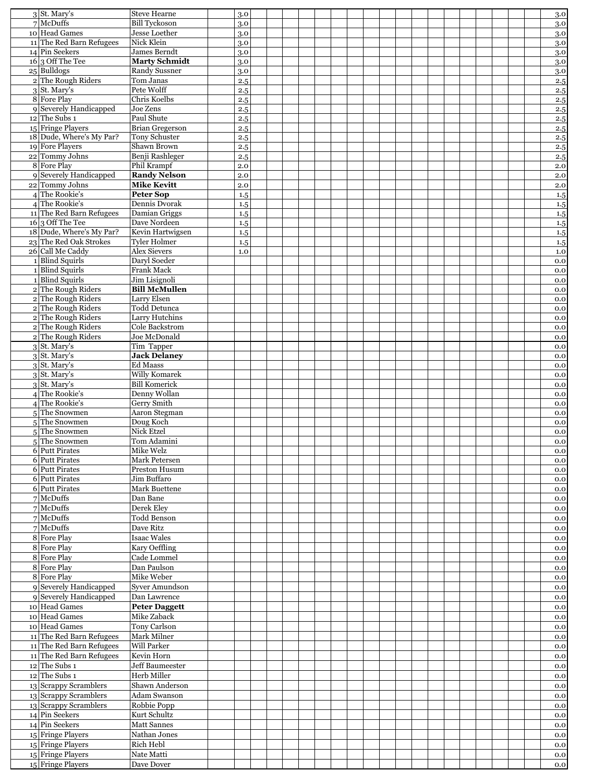| $3$ St. Mary's                              | <b>Steve Hearne</b>                          | 3.0        |  |  |  |  |  |  |  |  |  | 3.0        |
|---------------------------------------------|----------------------------------------------|------------|--|--|--|--|--|--|--|--|--|------------|
| $7$ McDuffs<br>10 Head Games                | <b>Bill Tyckoson</b><br><b>Jesse Loether</b> | 3.0        |  |  |  |  |  |  |  |  |  | 3.0        |
| 11 The Red Barn Refugees                    | Nick Klein                                   | 3.0<br>3.0 |  |  |  |  |  |  |  |  |  | 3.0<br>3.0 |
| 14 Pin Seekers                              | James Berndt                                 | 3.0        |  |  |  |  |  |  |  |  |  | 3.0        |
| $16\overline{)3$ Off The Tee                | <b>Marty Schmidt</b>                         | 3.0        |  |  |  |  |  |  |  |  |  | 3.0        |
| 25 Bulldogs                                 | Randy Sussner                                | 3.0        |  |  |  |  |  |  |  |  |  | 3.0        |
| 2 The Rough Riders                          | Tom Janas                                    | 2.5        |  |  |  |  |  |  |  |  |  | 2.5        |
| $3$ St. Mary's<br>8 Fore Play               | Pete Wolff<br>Chris Koelbs                   | 2.5        |  |  |  |  |  |  |  |  |  | 2.5        |
| 9 Severely Handicapped                      | Joe Zens                                     | 2.5<br>2.5 |  |  |  |  |  |  |  |  |  | 2.5<br>2.5 |
| $12$ The Subs 1                             | Paul Shute                                   | 2.5        |  |  |  |  |  |  |  |  |  | 2.5        |
| 15 Fringe Players                           | Brian Gregerson                              | 2.5        |  |  |  |  |  |  |  |  |  | 2.5        |
| 18 Dude, Where's My Par?                    | <b>Tony Schuster</b>                         | 2.5        |  |  |  |  |  |  |  |  |  | 2.5        |
| 19 Fore Players                             | Shawn Brown                                  | 2.5        |  |  |  |  |  |  |  |  |  | 2.5        |
| 22 Tommy Johns                              | Benji Rashleger                              | 2.5        |  |  |  |  |  |  |  |  |  | 2.5        |
| 8 Fore Play                                 | Phil Krampf                                  | 2.0        |  |  |  |  |  |  |  |  |  | 2.0        |
| 9 Severely Handicapped<br>22 Tommy Johns    | <b>Randy Nelson</b><br><b>Mike Kevitt</b>    | 2.0<br>2.0 |  |  |  |  |  |  |  |  |  | 2.0<br>2.0 |
| 4 The Rookie's                              | <b>Peter Sop</b>                             | 1.5        |  |  |  |  |  |  |  |  |  | 1.5        |
| 4 The Rookie's                              | Dennis Dvorak                                | 1.5        |  |  |  |  |  |  |  |  |  | 1.5        |
| 11 The Red Barn Refugees                    | Damian Griggs                                | 1.5        |  |  |  |  |  |  |  |  |  | 1.5        |
| $16 \vert 3$ Off The Tee                    | Dave Nordeen                                 | 1.5        |  |  |  |  |  |  |  |  |  | 1.5        |
| 18 Dude, Where's My Par?                    | Kevin Hartwigsen                             | 1.5        |  |  |  |  |  |  |  |  |  | 1.5        |
| 23 The Red Oak Strokes<br>26 Call Me Caddy  | <b>Tyler Holmer</b><br><b>Alex Sievers</b>   | 1.5        |  |  |  |  |  |  |  |  |  | 1.5        |
| 1 Blind Squirls                             | Daryl Soeder                                 | 1.0        |  |  |  |  |  |  |  |  |  | 1.0<br>0.0 |
| 1 Blind Squirls                             | Frank Mack                                   |            |  |  |  |  |  |  |  |  |  | 0.0        |
| 1 Blind Squirls                             | Jim Lisignoli                                |            |  |  |  |  |  |  |  |  |  | 0.0        |
| 2 The Rough Riders                          | <b>Bill McMullen</b>                         |            |  |  |  |  |  |  |  |  |  | 0.0        |
| 2 The Rough Riders                          | Larry Elsen                                  |            |  |  |  |  |  |  |  |  |  | 0.0        |
| 2 The Rough Riders                          | Todd Detunca                                 |            |  |  |  |  |  |  |  |  |  | 0.0        |
| 2 The Rough Riders                          | Larry Hutchins<br>Cole Backstrom             |            |  |  |  |  |  |  |  |  |  | 0.0        |
| 2 The Rough Riders<br>2 The Rough Riders    | Joe McDonald                                 |            |  |  |  |  |  |  |  |  |  | 0.0<br>0.0 |
| $3$ St. Mary's                              | Tim Tapper                                   |            |  |  |  |  |  |  |  |  |  | 0.0        |
| 3 St. Mary's                                | <b>Jack Delanev</b>                          |            |  |  |  |  |  |  |  |  |  | 0.0        |
| $3$ St. Mary's                              | Ed Maass                                     |            |  |  |  |  |  |  |  |  |  | 0.0        |
| $3$ St. Mary's                              | Willy Komarek                                |            |  |  |  |  |  |  |  |  |  | 0.0        |
| $3$ St. Mary's                              | Bill Komerick                                |            |  |  |  |  |  |  |  |  |  | 0.0        |
| 4 The Rookie's<br>4 The Rookie's            | Denny Wollan<br>Gerry Smith                  |            |  |  |  |  |  |  |  |  |  | 0.0        |
| 5 <sup>The Snowmen</sup>                    | Aaron Stegman                                |            |  |  |  |  |  |  |  |  |  | 0.0<br>0.0 |
| 5The Snowmen                                | Doug Koch                                    |            |  |  |  |  |  |  |  |  |  | 0.0        |
| 5 The Snowmen                               | Nick Etzel                                   |            |  |  |  |  |  |  |  |  |  | 0.0        |
| 5The Snowmen                                | Tom Adamini                                  |            |  |  |  |  |  |  |  |  |  | 0.0        |
| 6 Putt Pirates                              | Mike Welz                                    |            |  |  |  |  |  |  |  |  |  | 0.0        |
| 6 Putt Pirates                              | Mark Petersen                                |            |  |  |  |  |  |  |  |  |  | 0.0        |
| 6 Putt Pirates<br>6 Putt Pirates            | Preston Husum<br>Jim Buffaro                 |            |  |  |  |  |  |  |  |  |  | 0.0        |
| 6 Putt Pirates                              | Mark Buettene                                |            |  |  |  |  |  |  |  |  |  | 0.0<br>0.0 |
| $7$ McDuffs                                 | Dan Bane                                     |            |  |  |  |  |  |  |  |  |  | 0.0        |
| $7$ McDuffs                                 | Derek Eley                                   |            |  |  |  |  |  |  |  |  |  | 0.0        |
| $7$ McDuffs                                 | <b>Todd Benson</b>                           |            |  |  |  |  |  |  |  |  |  | 0.0        |
| $7$ McDuffs                                 | Dave Ritz                                    |            |  |  |  |  |  |  |  |  |  | 0.0        |
| 8 Fore Play                                 | <b>Isaac Wales</b>                           |            |  |  |  |  |  |  |  |  |  | 0.0        |
| 8 Fore Play                                 | Kary Oeffling                                |            |  |  |  |  |  |  |  |  |  | 0.0        |
| 8 Fore Play<br>8 Fore Play                  | Cade Lommel<br>Dan Paulson                   |            |  |  |  |  |  |  |  |  |  | 0.0        |
| 8 Fore Play                                 | Mike Weber                                   |            |  |  |  |  |  |  |  |  |  | 0.0<br>0.0 |
| 9 Severely Handicapped                      | <b>Syver Amundson</b>                        |            |  |  |  |  |  |  |  |  |  | 0.0        |
| 9 Severely Handicapped                      | Dan Lawrence                                 |            |  |  |  |  |  |  |  |  |  | 0.0        |
| 10 Head Games                               | <b>Peter Daggett</b>                         |            |  |  |  |  |  |  |  |  |  | 0.0        |
| 10 Head Games                               | Mike Zaback                                  |            |  |  |  |  |  |  |  |  |  | 0.0        |
| 10 Head Games                               | Tony Carlson                                 |            |  |  |  |  |  |  |  |  |  | 0.0        |
| 11 The Red Barn Refugees                    | Mark Milner                                  |            |  |  |  |  |  |  |  |  |  | 0.0        |
| 11 The Red Barn Refugees                    | Will Parker                                  |            |  |  |  |  |  |  |  |  |  | 0.0        |
| 11 The Red Barn Refugees<br>$12$ The Subs 1 | Kevin Horn<br><b>Jeff Baumeester</b>         |            |  |  |  |  |  |  |  |  |  | 0.0        |
| $12$ The Subs 1                             | Herb Miller                                  |            |  |  |  |  |  |  |  |  |  | 0.0<br>0.0 |
| 13 Scrappy Scramblers                       | Shawn Anderson                               |            |  |  |  |  |  |  |  |  |  | 0.0        |
| 13 Scrappy Scramblers                       | <b>Adam Swanson</b>                          |            |  |  |  |  |  |  |  |  |  | 0.0        |
| 13 Scrappy Scramblers                       | Robbie Popp                                  |            |  |  |  |  |  |  |  |  |  | 0.0        |
| 14 Pin Seekers                              | Kurt Schultz                                 |            |  |  |  |  |  |  |  |  |  | 0.0        |
| 14 Pin Seekers                              | <b>Matt Sannes</b>                           |            |  |  |  |  |  |  |  |  |  | 0.0        |
| 15 Fringe Players                           | Nathan Jones                                 |            |  |  |  |  |  |  |  |  |  | 0.0        |
| 15 Fringe Players                           | Rich Hebl                                    |            |  |  |  |  |  |  |  |  |  | 0.0        |
| 15 Fringe Players                           | Nate Matti                                   |            |  |  |  |  |  |  |  |  |  | 0.0        |
| 15 Fringe Players                           | Dave Dover                                   |            |  |  |  |  |  |  |  |  |  | 0.0        |